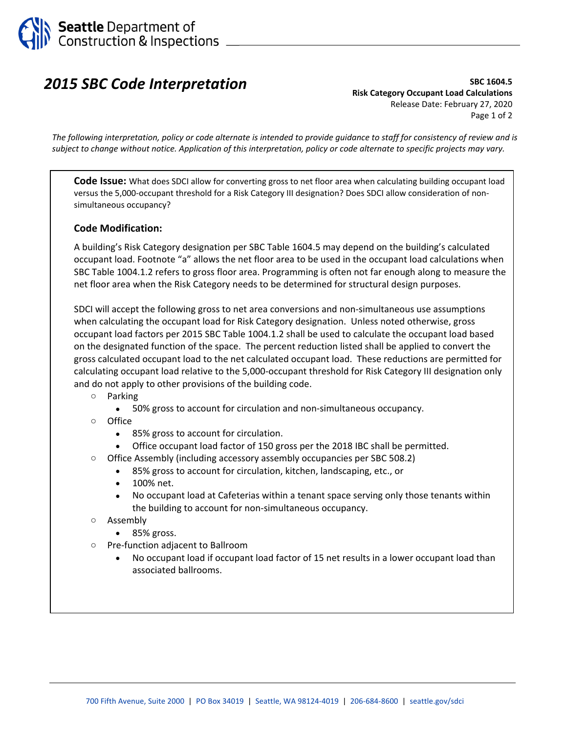

## *2015 SBC Code Interpretation*

**SBC 1604.5 Risk Category Occupant Load Calculations**  Release Date: February 27, 2020 Page 1 of 2

*The following interpretation, policy or code alternate is intended to provide guidance to staff for consistency of review and is subject to change without notice. Application of this interpretation, policy or code alternate to specific projects may vary.* 

**Code Issue:** What does SDCI allow for converting gross to net floor area when calculating building occupant load versus the 5,000‐occupant threshold for a Risk Category III designation? Does SDCI allow consideration of non‐ simultaneous occupancy?

## **Code Modification:**

A building's Risk Category designation per SBC Table 1604.5 may depend on the building's calculated occupant load. Footnote "a" allows the net floor area to be used in the occupant load calculations when SBC Table 1004.1.2 refers to gross floor area. Programming is often not far enough along to measure the net floor area when the Risk Category needs to be determined for structural design purposes.

SDCI will accept the following gross to net area conversions and non‐simultaneous use assumptions when calculating the occupant load for Risk Category designation. Unless noted otherwise, gross occupant load factors per 2015 SBC Table 1004.1.2 shall be used to calculate the occupant load based on the designated function of the space. The percent reduction listed shall be applied to convert the gross calculated occupant load to the net calculated occupant load. These reductions are permitted for calculating occupant load relative to the 5,000‐occupant threshold for Risk Category III designation only and do not apply to other provisions of the building code.

- o Parking
	- 50% gross to account for circulation and non-simultaneous occupancy.
- o Office
	- 85% gross to account for circulation.
	- Office occupant load factor of 150 gross per the 2018 IBC shall be permitted.
- o Office Assembly (including accessory assembly occupancies per SBC 508.2)
	- 85% gross to account for circulation, kitchen, landscaping, etc., or
	- 100% net.
	- No occupant load at Cafeterias within a tenant space serving only those tenants within the building to account for non‐simultaneous occupancy.
- o Assembly
	- 85% gross.
- o Pre‐function adjacent to Ballroom
	- No occupant load if occupant load factor of 15 net results in a lower occupant load than associated ballrooms.